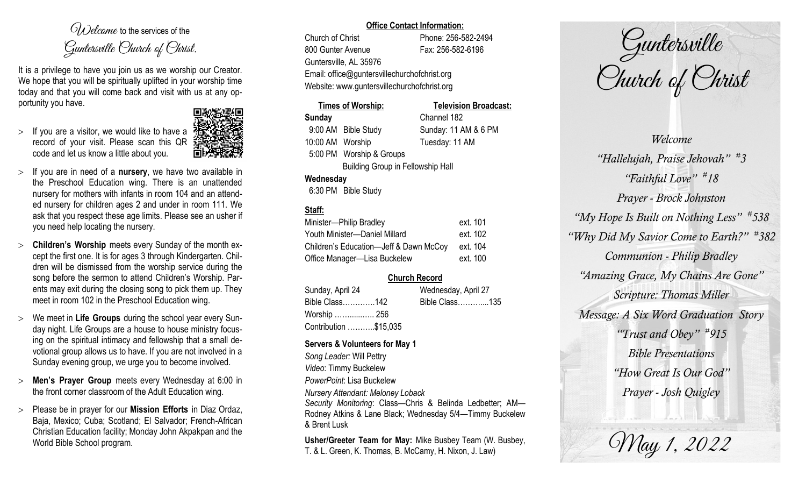$O(\lambda)$  elcame to the services of the Guntersville Church of Christ.

It is a privilege to have you join us as we worship our Creator. We hope that you will be spiritually uplifted in your worship time today and that you will come back and visit with us at any opportunity you have.

 $>$  If you are a visitor, we would like to have a record of your visit. Please scan this QR code and let us know a little about you.



- $>$  If you are in need of a **nursery**, we have two available in the Preschool Education wing. There is an unattended nursery for mothers with infants in room 104 and an attended nursery for children ages 2 and under in room 111. We ask that you respect these age limits. Please see an usher if you need help locating the nursery.
- **Children's Worship** meets every Sunday of the month except the first one. It is for ages 3 through Kindergarten. Children will be dismissed from the worship service during the song before the sermon to attend Children's Worship. Parents may exit during the closing song to pick them up. They meet in room 102 in the Preschool Education wing.
- We meet in **Life Groups** during the school year every Sunday night. Life Groups are a house to house ministry focusing on the spiritual intimacy and fellowship that a small devotional group allows us to have. If you are not involved in a Sunday evening group, we urge you to become involved.
- **Men's Prayer Group** meets every Wednesday at 6:00 in the front corner classroom of the Adult Education wing.
- Please be in prayer for our **Mission Efforts** in Diaz Ordaz, Baja, Mexico; Cuba; Scotland; El Salvador; French-African Christian Education facility; Monday John Akpakpan and the World Bible School program.

### **Office Contact Information:**

Church of Christ Phone: 256-582-2494 800 Gunter Avenue Fax: 256-582-6196 Guntersville, AL 35976 Email: office@guntersvillechurchofchrist.org Website: www.guntersvillechurchofchrist.org

## **Times of Worship: Television Broadcast: Sunday** Channel 182 9:00 AM Bible Study Sunday: 11 AM & 6 PM

10:00 AM Worship Tuesday: 11 AM 5:00 PM Worship & Groups Building Group in Fellowship Hall

## **Wednesday**

6:30 PM Bible Study

## **Staff:**

| Minister-Philip Bradley                | ext. 101 |
|----------------------------------------|----------|
| Youth Minister-Daniel Millard          | ext. 102 |
| Children's Education-Jeff & Dawn McCoy | ext. 104 |
| Office Manager-Lisa Buckelew           | ext. 100 |

# **Church Record**

| Sunday, April 24      | Wednesday, April 27 |  |
|-----------------------|---------------------|--|
| Bible Class142        | Bible Class135      |  |
| Worship  256          |                     |  |
| Contribution \$15,035 |                     |  |

### **Servers & Volunteers for May 1**

*Song Leader:* Will Pettry *Video*: Timmy Buckelew *PowerPoint*: Lisa Buckelew *Nursery Attendant: Meloney Loback Security Monitoring*: Class—Chris & Belinda Ledbetter; AM— Rodney Atkins & Lane Black; Wednesday 5/4—Timmy Buckelew & Brent Lusk

**Usher/Greeter Team for May:** Mike Busbey Team (W. Busbey, T. & L. Green, K. Thomas, B. McCamy, H. Nixon, J. Law)

Guntersville Church of Christ

*Welcome "Hallelujah, Praise Jehovah" # 3 "Faithful Love" # 18 Prayer - Brock Johnston "My Hope Is Built on Nothing Less" # 538 "Why Did My Savior Come to Earth?" # 382 Communion - Philip Bradley "Amazing Grace, My Chains Are Gone" Scripture: Thomas Miller Message: A Six Word Graduation Story "Trust and Obey" # 915 Bible Presentations "How Great Is Our God" Prayer - Josh Quigley*

May 1, 2022